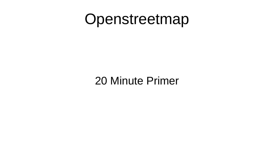### Openstreetmap

20 Minute Primer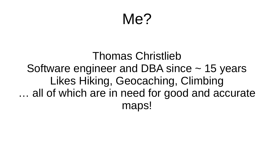### Me?

### Thomas Christlieb Software engineer and DBA since  $\sim$  15 years Likes Hiking, Geocaching, Climbing … all of which are in need for good and accurate maps!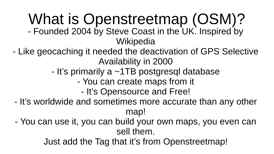# What is Openstreetmap (OSM)?

- Founded 2004 by Steve Coast in the UK. Inspired by **Wikipedia**
- Like geocaching it needed the deactivation of GPS Selective Availability in 2000
	- It's primarily a ~1TB postgresql database
		- You can create maps from it
			- It's Opensource and Free!
- It's worldwide and sometimes more accurate than any other map!
- You can use it, you can build your own maps, you even can sell them.

Just add the Tag that it's from Openstreetmap!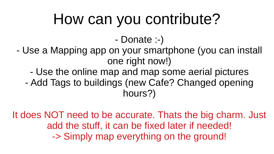## How can you contribute?

- Donate :-)

- Use a Mapping app on your smartphone (you can install one right now!)
	- Use the online map and map some aerial pictures
	- Add Tags to buildings (new Cafe? Changed opening hours?)

It does NOT need to be accurate. Thats the big charm. Just add the stuff, it can be fixed later if needed! -> Simply map everything on the ground!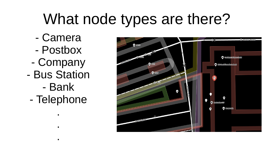## What node types are there?

- Camera
- Postbox
- Company
- Bus Station
	- Bank
	- Telephone

.

.

.

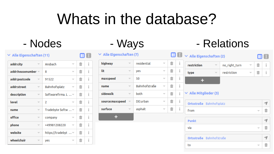## Whats in the database?

#### $\vee$  Alle Eigenschaften (11)

| addr:city<br>$\overline{\phantom{a}}$   | Ansbach<br>$\overline{\phantom{a}}$ | 亩                             | i |
|-----------------------------------------|-------------------------------------|-------------------------------|---|
| addr:housenumber $\equiv$               | 8<br>₩                              | $\hat{\overline{\mathbb{m}}}$ | i |
| addr:postcode                           | 91522<br>$\overline{\phantom{a}}$   | 霝                             | i |
| addr:street<br>$\overline{\phantom{a}}$ | Bahnhofsplatz<br>₩                  | 命                             | i |
| description<br>₩                        | Softwarefirma. L                    | 命                             | i |
| level<br>$\overline{\phantom{a}}$       | $\overline{\phantom{a}}$<br>₩       | $\hat{\mathbb{m}}$            | i |
| $\overline{\phantom{a}}$<br>name        | Tradebyte Softw                     | 霝                             | i |
| office<br>÷                             | company<br>₩                        | 命                             | i |
| phone<br>v                              | +49981208220<br>v                   | 命                             | i |
| website<br>$\overline{\phantom{a}}$     | https://tradebyt  =                 | $\hat{\mathbb{m}}$            | i |
| wheelchair<br>v                         | yes<br>▼                            | $\hat{\mathbb{m}}$            | i |

#### $\vee$  Alle Eigenschaften (7)

目田

| highway         | residential   | 亩  | i |
|-----------------|---------------|----|---|
| lit             | yes           | 霝  | i |
| maxspeed        | 50            | 霝  | i |
| name            | Bahnhofstraße | 霝  | i |
| sidewalk        | both          | 霝  | i |
| source:maxspeed | DE:urban      | ti | i |
| surface         | asphalt       | 霝  | i |
|                 |               |    |   |

### - Nodes - Ways - Relations

|                                   |                         | $\Box$ $\vee$ Alle Eigenschaften (2)<br>Ħ |               |                          |                          |                                   |  |
|-----------------------------------|-------------------------|-------------------------------------------|---------------|--------------------------|--------------------------|-----------------------------------|--|
| $\widehat{\overline{\mathbb{U}}}$ | $\mathring{1}$          | restriction<br>$\overline{\phantom{a}}$   | no_right_turn | $\overline{\phantom{a}}$ | $\widehat{\mathbb{m}}$   | i                                 |  |
| 霝                                 | $\overline{\mathrm{I}}$ | type<br>$\overline{\phantom{a}}$          | restriction   | $\overline{\phantom{a}}$ | $\hat{\mathbb{m}}$       | $\overline{\mathrm{I}}$           |  |
| $\widehat{\mathbb{m}}$            | $\overline{\mathrm{I}}$ | ÷                                         |               |                          |                          |                                   |  |
| 霝                                 | i                       |                                           |               |                          |                          |                                   |  |
| 霝                                 | i                       | $\vee$ Alle Mitglieder (3)                |               |                          |                          |                                   |  |
| $\hat{\overline{\mathbb{m}}}$     | i                       | Ortsstraße Bahnhofsplatz                  |               |                          |                          |                                   |  |
| 霝                                 | $\overline{\mathrm{I}}$ | from<br>$\overline{\phantom{a}}$          |               |                          |                          |                                   |  |
|                                   |                         | <b>Punkt</b>                              |               |                          |                          | 1                                 |  |
|                                   |                         | via                                       |               |                          | $\overline{\phantom{a}}$ | $\widehat{\overline{\mathbb{m}}}$ |  |
| Ortsstraße Bahnhofstraße          |                         |                                           |               |                          |                          |                                   |  |
|                                   |                         | to                                        |               |                          | $\overline{\phantom{a}}$ | $\widehat{\mathbb{m}}$            |  |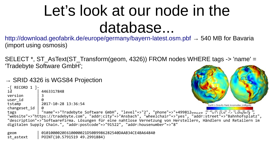## Let's look at our node in the database...

<http://download.geofabrik.de/europe/germany/bayern-latest.osm.pbf>→ 540 MB for Bavaria (import using osmosis)

SELECT \*, ST\_AsText(ST\_Transform(geom, 4326)) FROM nodes WHERE tags -> 'name' = 'Tradebyte Software GmbH';

#### $\rightarrow$  SRID 4326 is WGS84 Projection

```
-[ RECORD 1 ]-<br>id
                4463317848
versionuser_id<br>tstamp
                tstamp | 2017-10-28 13:36:54
                                                                                                Earth's Gravity Field Anomalies (milligals)
changeset id
tags | "name"=>"Tradebyte Software GmbH", "level"=>"2", "phone"=>"+49981200440;","level"->"company",
"website"=>"https://tradebyte.com", "addr:city"=>"Ansbach", "wheelchair"=>"yes", "addr:street"=>"Bahnhofsplatz", 
"description"=>"Softwarefirma. Lösungen für eine nahtlose Vernetzung von Herstellern, Händlern und Retailern im 
digitalen Supply Chain.", "addr:postcode"=>"91522", "addr:housenumber"=>"8"
```
geom | 0101000020E610000021D50B9986282540DAAB34CE4BA64840  $\overline{5}$ t astext | POINT(10.5791519 49.2991884)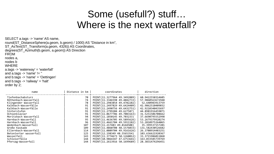### Some (usefull?) stuff… Where is the next waterfall?

```
SELECT a.tags -> 'name' AS name, 
round(ST_DistanceSphere(a.geom, b.geom) / 1000) AS "Distance in km",
ST_AsText(ST_Transform(a.geom, 4326)) AS Coordinates,
degrees(ST_Azimuth(b.geom, a.geom)) AS Direction 
FROM 
nodes a, 
nodes b 
WHERE 
a.tags -> 'waterway' = 'waterfall' 
and a.tags -> 'name' != '' 
and b.tags -> 'name' = 'Oettingen' 
and b.tags -> 'railway' = 'halt'
```

```
order by 2;
```

| name                   | Distance in $km$ | coordinates                   | direction        |
|------------------------|------------------|-------------------------------|------------------|
| Tiefenbachabsturz      | 70               | POINT (11.3277964 49.3492889) | 60.9422550314605 |
| Röthenbach-Wasserfall  | 74               | POINT (11.3346598 49.4042733) | 57.9860563672948 |
| Klingender Wasserfall  | 78               | POINT (11.2983854 49.4782282) | 52.640983913759  |
| Kalkbach-Wasserfälle   | 91               | POINT (11.2497829 49.6424409) | 42.9862510409032 |
| Kalkbach-Wasserfälle   | 91               | POINT (11.2490756 49.6432751) | 42.9210340435697 |
| Sinterstufen           | 91               | POINT(11.2799204 49.627587)   | 44.8981916459071 |
| Ochsenklavier          | 91               | POINT(11.0677786 49.7083163)  | 31.5251506708662 |
| Moritzbach Wasserfall  | 94               | POINT (11.1850145 49.703233)  | 37.6690795552998 |
| Harnbach-Wasserfall    | 95               | POINT (11.4636705 49.5895626) | 53.2679379920274 |
| Harnbach-Wasserfall    | 96               | POINT (11.4661704 49.5911182) | 53.2810975264065 |
| Wedenbach-Wasserfall   | 107              | POINT(11.217483 49.8144508)   | 35.399537157201  |
| Große Kaskade          | 109              | POINT (11.4860708 48.1576033) | 131.582430526682 |
| Ellernbach-Wasserfall  | 114              | POINT (11.0809704 49.9161626) | 26.3708914483251 |
| Betonierter wasserfall | 125              | POINT (12.198349 48.5565354)  | 103.636621920367 |
| Wasserfall             | 143              | POINT (11.3774673 50.1260012) | 33.3715986011868 |
| Schleierfälle          | 144              | POINT (10.9864347 47.6753641) | 163.033585739769 |
| Pfersag-Wasserfall     | 144              | POINT (11.2613916 50.1699689) | 28.3831474296451 |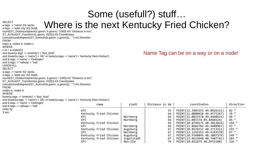#### Some (usefull?) stuff… SELECT atags -> 'name' AS name,  $\blacksquare$  Where is the next Kentucky Fried Chicken?

#### a.tags -> 'addr:city' AS Stadt, round(ST\_DistanceSphere(c.geom, b.geom) / 1000) AS "Distance in km", ST\_AsText(ST\_Transform(c.geom, 4326)) AS Coordinates, concat(round(degrees(ST\_Azimuth(b.geom, c.geom))), ' °') AS Direction FROM ways a, nodes b, nodes c **WHERE**  $c.id = a.nodes[1]$ and lower(a.tags -> 'amenity') = 'fast\_food' and (lower(a.tags -> 'name') = 'kfc' or lower(a.tags -> 'name') = 'kentucky fried chicken') and b.tags -> 'name' = 'Oettingen' and b.tags -> 'railway' = 'halt' UNION ALL SELECT a.tags -> 'name' AS name, a.tags -> 'addr:city' AS Stadt, round(ST\_DistanceSphere(a.geom, b.geom) / 1000) AS "Distance in km", ST\_AsText(ST\_Transform(a.geom, 4326)) AS Coordinates, concat(round(degrees(ST\_Azimuth(b.geom, a.geom))), ' °') AS Direction FROM nodes a, nodes b WHERE lower(a.tags -> 'amenity') = 'fast\_food' and (lower(a.tags -> 'name') = 'kfc' or lower(a.tags -> 'name') = 'kentucky fried chicken') and b.tags -> 'name' = 'Oettingen' and b.tags -> 'railway' = 'halt' order by 3 asc;

a.tags -> 'name' AS name,

#### Name Tag can be on a way or on a node!

| name                                                                                                                                                                               | stadt                                                                              | Distance in $km$                                         | coordinates                                                                                                                                                                                                                                                                                                                     | direction                                                                                                                           |
|------------------------------------------------------------------------------------------------------------------------------------------------------------------------------------|------------------------------------------------------------------------------------|----------------------------------------------------------|---------------------------------------------------------------------------------------------------------------------------------------------------------------------------------------------------------------------------------------------------------------------------------------------------------------------------------|-------------------------------------------------------------------------------------------------------------------------------------|
| <b>KFC</b><br>Kentucky Fried Chicken<br>KFC.<br><b>KFC</b><br>Kentucky Fried Chicken<br>KFC.<br>Kentucky Fried Chicken<br>KFC.<br>Kentucky Fried Chicken<br>Kentucky Fried Chicken | Nürnberg<br>Nürnberg<br>Nürnberg<br>Augsburg<br>Nürnberg<br>Augsburg<br>Ingolstadt | 55<br>64<br>66<br>66<br>66<br>66<br>67<br>67<br>67<br>67 | POINT (11.3403355 49.0426112)<br>POINT(11.0080418 49.4575247)<br>POINT (11.0815578 49.4460633)<br>POINT(11.081574 49.4460329)<br>POINT (10.8749175 48.3813824)<br>POINT(11.0682782 49.4488967)<br>POINT(10.8676552 48.3713111)<br>POINT (11.1256353 49.4343578)<br>POINT(10.9348895 48.3887379)<br>POINT(11.4632648 48.7487741) | 82°<br>$39^\circ$<br>44 $^{\circ}$<br>44 °<br>$154$ $\degree$<br>43°<br>$155$ $\degree$<br>47 $\degree$<br>149°<br>$103$ $^{\circ}$ |
| KFC.                                                                                                                                                                               | Neu-Ulm                                                                            | 74                                                       | POINT (10.021679 48.3955108)                                                                                                                                                                                                                                                                                                    | 226°                                                                                                                                |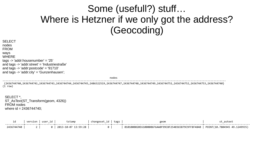### Some (usefull?) stuff… Where is Hetzner if we only got the address? (Geocoding)

SELECT nodes FROM ways **WHERE** tags -> 'addr:housenumber' = '25' and tags -> 'addr:street' = 'Industriestraße' and tags -> 'addr:postcode' = '91710' and tags -> 'addr:city' = 'Gunzenhausen';

nodes and the contract of the contract of the contract of the contract of the contract of the contract of the contract of the contract of the contract of the contract of the contract of the contract of the contract of the

-------------------------------------------------------------------------------------------------------------------------------------------------- {2436744740,2436744741,2436744743,2436744744,2436744745,2486322519,2436744747,2436744748,2436744749,2436744751,2436744752,2436744753,2436744740}  $(i$  row)

SELECT \*, ST\_AsText(ST\_Transform(geom, 4326)) FROM nodes where id = 2436744740;

|            | version | user id | tstamp              | changeset id | tags | geon                                                                            |  |
|------------|---------|---------|---------------------|--------------|------|---------------------------------------------------------------------------------|--|
| 2436744740 |         | Ø.      | 2013-10-07 13:59:28 |              |      | 0101000020E61000006F6AA0F99C8F2540365B79C9FF8F4840 POINT(10.7804945 49.1249935) |  |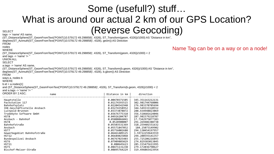### Some (usefull?) stuff… What is around our actual 2 km of our GPS Location? SELECT (Reverse Geocoding)

(ST\_DistanceSphere(ST\_GeomFromText('POINT(10.579172 49.298858)', 4326), ST\_Transform(geom, 4326))/1000) AS "Distance in km", degrees(ST\_Azimuth(ST\_GeomFromText('POINT(10.579172 49.298858)', 4326), geom)) AS Direction FROM nodes WHERE (ST\_DistanceSphere(ST\_GeomFromText('POINT(10.579172 49.298858)', 4326), ST\_Transform(geom, 4326))/1000) < 2 and tags  $\rightarrow$  'name'  $I =$  " UNION ALL SELECT a.tags -> 'name' AS name, (ST\_DistanceSphere(ST\_GeomFromText('POINT(10.579172 49.298858)', 4326), ST\_Transform(b.geom, 4326))/1000) AS "Distance in km", degrees(ST\_Azimuth(ST\_GeomFromText('POINT(10.579172 49.298858)', 4326), b.geom)) AS Direction FROM ways a, nodes b **WHERE**  $b.id = a.nodes[1]$ and (ST\_DistanceSphere(ST\_GeomFromText('POINT(10.579172 49.298858)', 4326), ST\_Transform(b.geom, 4326))/1000) < 2 and a.tags -> 'name' != '' ORDER BY 2 ASC; example the manner and the property of the political politics in km | direction ------------------------------------------------------------------+----------------+------------------- Hauptstelle | 0.00470371505 | 345.351163212131 Packstation 117 | 0.01174393515 | 302.981744768006<br>Bahnhofsplatz | 0.02204542948 | 276.983370705694 Bahnhofsplatz | 0.02204542948 | 276.983370705694 IHK-Geschäftsstelle Ansbach | 0.03274358952<br>| 2.03274358952 | 344.5493333878872 Luitpold-Brunnen | 0.03373878872 | 288.434948823069 Tradebyte Software GmbH | 0.03676775318<br>HSTR | 366.525240787 HST8 | 0.04926204787 | 287.981579218787 Ansbach - Bahnhof | 0.05008066041 | 17.7342975077383 HST8 | 0.0528900007 | 291.269486388738 Bahnhofstraße | 0.05503531369 | 318.259401551632<br>Ansbach | 0.05571847052 | 184.25073149902 Ansbach | 0.05571847052 | 184.25073149902 294.130454197957 Gewerbegebiet Bahnhofstraße | 0.06461409125 | 3.59722259643559<br>HST12 | 0.06684025068 | 294.208593141357 0.06684025068 294.208593141357<br>0.06767025403 255.725206216893 Bundespolizei Ansbach | 0.06767025403 | 255.725206216893 HST6 | 0.07909885029 | 274.829383013845 HST11 | 0.080645623 | 285.155475611995 279.172036790627 Bischof-Meiser-Straße | 0.08895764229 | 319.496065423954

Name Tag can be on a way or on a node!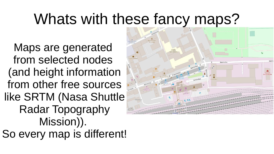## Whats with these fancy maps?

Maps are generated from selected nodes (and height information from other free sources like SRTM (Nasa Shuttle Radar Topography Mission)). So every map is different!

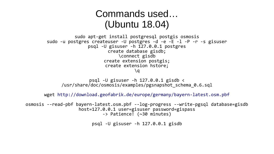### Commands used… (Ubuntu 18.04)

```
sudo apt-get install postgresql postgis osmosis
sudo -u postgres createuser -U postgres -d -e -E -l -P -r -s gisuser
                psql -U gisuser -h 127.0.0.1 postgres
                        create database gisdb;
                            \connect gisdb
                      create extension postgis;
                       create extension hstore;
                                   \setminusa
```
psql -U gisuser -h  $127.0.0.1$  gisdb  $\langle$ /usr/share/doc/osmosis/examples/pgsnapshot\_schema\_0.6.sql

wget <http://download.geofabrik.de/europe/germany/bayern-latest.osm.pbf>

osmosis --read-pbf bayern-latest.osm.pbf --log-progress --write-pgsql database=gisdb host=127.0.0.1 user=gisuser password=gispass -> Patience! (~30 minutes)

psql -U gisuser -h 127.0.0.1 gisdb